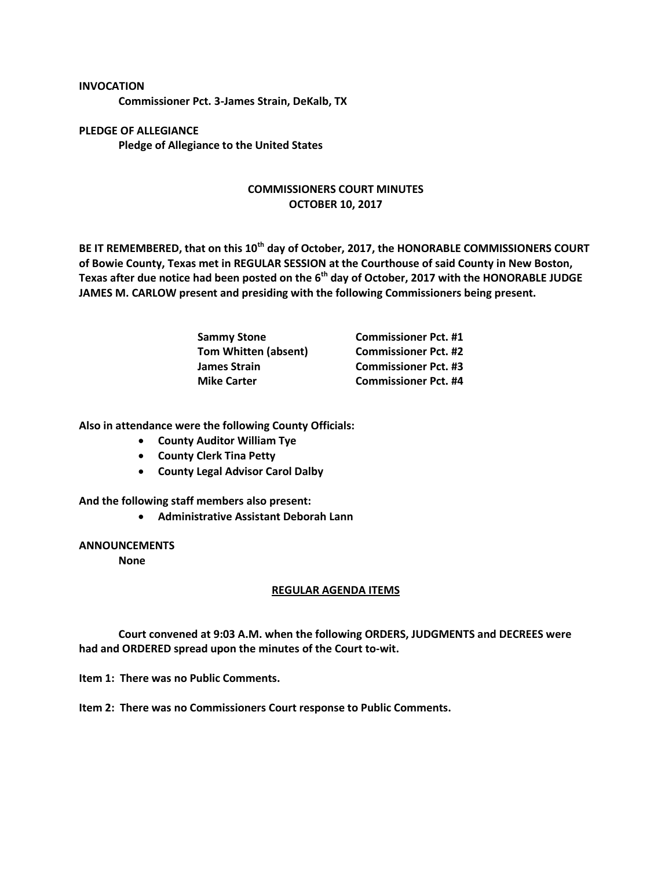## **INVOCATION**

**Commissioner Pct. 3-James Strain, DeKalb, TX**

**PLEDGE OF ALLEGIANCE Pledge of Allegiance to the United States**

## **COMMISSIONERS COURT MINUTES OCTOBER 10, 2017**

**BE IT REMEMBERED, that on this 10th day of October, 2017, the HONORABLE COMMISSIONERS COURT of Bowie County, Texas met in REGULAR SESSION at the Courthouse of said County in New Boston, Texas after due notice had been posted on the 6th day of October, 2017 with the HONORABLE JUDGE JAMES M. CARLOW present and presiding with the following Commissioners being present.**

| <b>Sammy Stone</b>          | <b>Commissioner Pct. #1</b> |
|-----------------------------|-----------------------------|
| <b>Tom Whitten (absent)</b> | <b>Commissioner Pct. #2</b> |
| <b>James Strain</b>         | <b>Commissioner Pct. #3</b> |
| <b>Mike Carter</b>          | <b>Commissioner Pct. #4</b> |

**Also in attendance were the following County Officials:**

- **County Auditor William Tye**
- **•** County Clerk Tina Petty
- **County Legal Advisor Carol Dalby**

**And the following staff members also present:**

**Administrative Assistant Deborah Lann**

**ANNOUNCEMENTS**

**None**

## **REGULAR AGENDA ITEMS**

**Court convened at 9:03 A.M. when the following ORDERS, JUDGMENTS and DECREES were had and ORDERED spread upon the minutes of the Court to-wit.**

**Item 1: There was no Public Comments.**

**Item 2: There was no Commissioners Court response to Public Comments.**